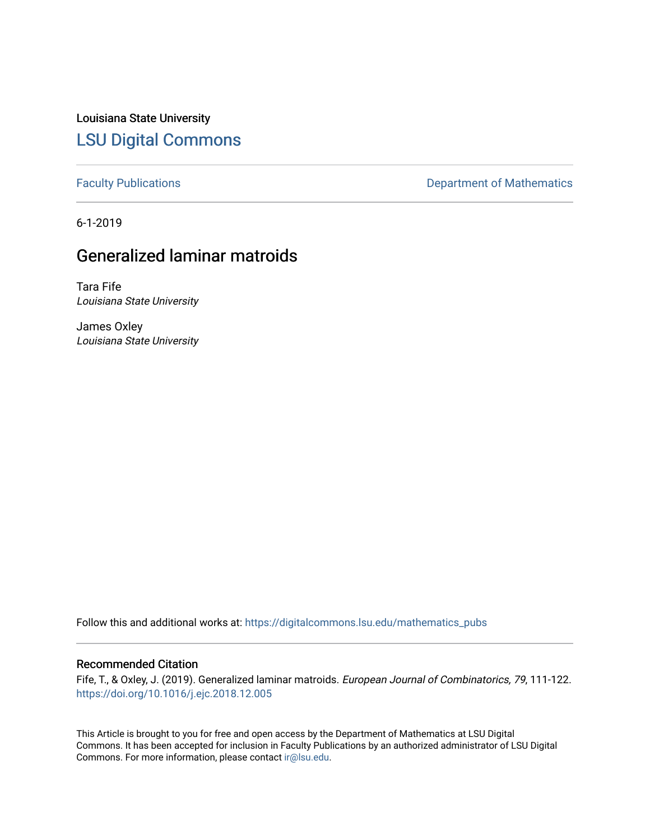Louisiana State University [LSU Digital Commons](https://digitalcommons.lsu.edu/)

[Faculty Publications](https://digitalcommons.lsu.edu/mathematics_pubs) **Exercise 2** and Table 2 and Table 2 and Department of Mathematics

6-1-2019

# Generalized laminar matroids

Tara Fife Louisiana State University

James Oxley Louisiana State University

Follow this and additional works at: [https://digitalcommons.lsu.edu/mathematics\\_pubs](https://digitalcommons.lsu.edu/mathematics_pubs?utm_source=digitalcommons.lsu.edu%2Fmathematics_pubs%2F1179&utm_medium=PDF&utm_campaign=PDFCoverPages)

# Recommended Citation

Fife, T., & Oxley, J. (2019). Generalized laminar matroids. European Journal of Combinatorics, 79, 111-122. <https://doi.org/10.1016/j.ejc.2018.12.005>

This Article is brought to you for free and open access by the Department of Mathematics at LSU Digital Commons. It has been accepted for inclusion in Faculty Publications by an authorized administrator of LSU Digital Commons. For more information, please contact [ir@lsu.edu](mailto:ir@lsu.edu).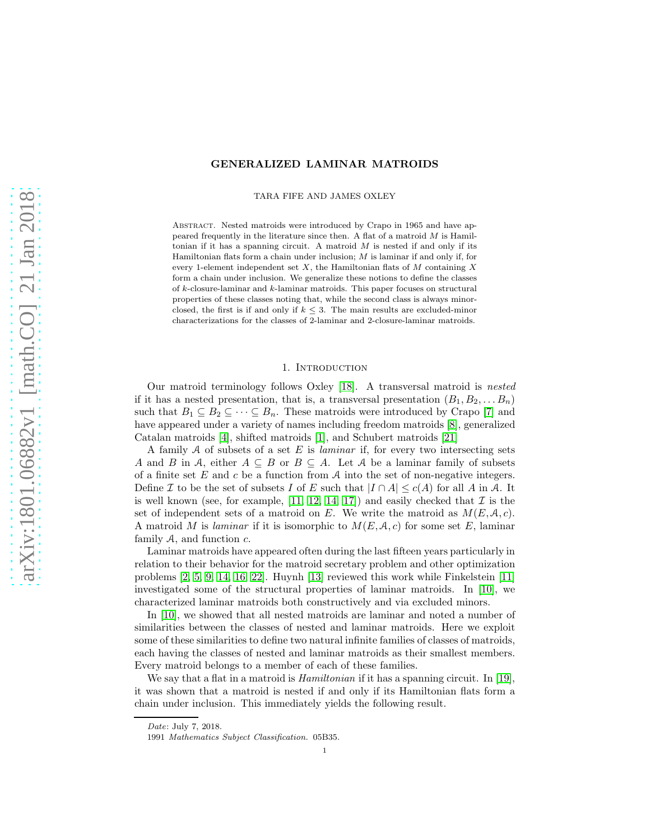# GENERALIZED LAMINAR MATROIDS

TARA FIFE AND JAMES OXLEY

Abstract. Nested matroids were introduced by Crapo in 1965 and have appeared frequently in the literature since then. A flat of a matroid  $M$  is Hamiltonian if it has a spanning circuit. A matroid  $M$  is nested if and only if its Hamiltonian flats form a chain under inclusion; M is laminar if and only if, for every 1-element independent set  $X$ , the Hamiltonian flats of  $M$  containing  $X$ form a chain under inclusion. We generalize these notions to define the classes of  $k$ -closure-laminar and  $k$ -laminar matroids. This paper focuses on structural properties of these classes noting that, while the second class is always minorclosed, the first is if and only if  $k \leq 3$ . The main results are excluded-minor characterizations for the classes of 2-laminar and 2-closure-laminar matroids.

# 1. Introduction

Our matroid terminology follows Oxley [\[18\]](#page-12-0). A transversal matroid is nested if it has a nested presentation, that is, a transversal presentation  $(B_1, B_2, \ldots, B_n)$ such that  $B_1 \subseteq B_2 \subseteq \cdots \subseteq B_n$ . These matroids were introduced by Crapo [\[7\]](#page-12-1) and have appeared under a variety of names including freedom matroids [\[8\]](#page-12-2), generalized Catalan matroids [\[4\]](#page-12-3), shifted matroids [\[1\]](#page-12-4), and Schubert matroids [\[21\]](#page-12-5)

A family A of subsets of a set E is *laminar* if, for every two intersecting sets A and B in A, either  $A \subseteq B$  or  $B \subseteq A$ . Let A be a laminar family of subsets of a finite set  $E$  and  $c$  be a function from  $A$  into the set of non-negative integers. Define I to be the set of subsets I of E such that  $|I \cap A| \le c(A)$  for all A in A. It is well known (see, for example,  $[11, 12, 14, 17]$  $[11, 12, 14, 17]$  $[11, 12, 14, 17]$  $[11, 12, 14, 17]$ ) and easily checked that  $\mathcal I$  is the set of independent sets of a matroid on E. We write the matroid as  $M(E, \mathcal{A}, c)$ . A matroid M is laminar if it is isomorphic to  $M(E, \mathcal{A}, c)$  for some set E, laminar family  $A$ , and function  $c$ .

Laminar matroids have appeared often during the last fifteen years particularly in relation to their behavior for the matroid secretary problem and other optimization problems [\[2,](#page-12-10) [5,](#page-12-11) [9,](#page-12-12) [14,](#page-12-8) [16,](#page-12-13) [22\]](#page-12-14). Huynh [\[13\]](#page-12-15) reviewed this work while Finkelstein [\[11\]](#page-12-6) investigated some of the structural properties of laminar matroids. In [\[10\]](#page-12-16), we characterized laminar matroids both constructively and via excluded minors.

In [\[10\]](#page-12-16), we showed that all nested matroids are laminar and noted a number of similarities between the classes of nested and laminar matroids. Here we exploit some of these similarities to define two natural infinite families of classes of matroids, each having the classes of nested and laminar matroids as their smallest members. Every matroid belongs to a member of each of these families.

We say that a flat in a matroid is *Hamiltonian* if it has a spanning circuit. In [\[19\]](#page-12-17), it was shown that a matroid is nested if and only if its Hamiltonian flats form a chain under inclusion. This immediately yields the following result.

Date: July 7, 2018.

<sup>1991</sup> Mathematics Subject Classification. 05B35.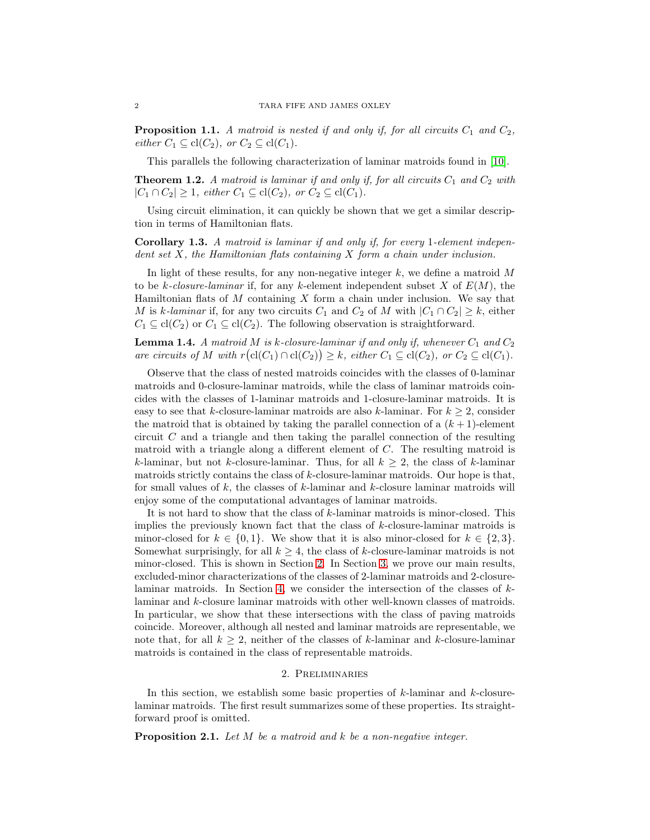**Proposition 1.1.** A matroid is nested if and only if, for all circuits  $C_1$  and  $C_2$ , either  $C_1 \subseteq \text{cl}(C_2)$ , or  $C_2 \subseteq \text{cl}(C_1)$ .

This parallels the following characterization of laminar matroids found in [\[10\]](#page-12-16).

**Theorem 1.2.** A matroid is laminar if and only if, for all circuits  $C_1$  and  $C_2$  with  $|C_1 \cap C_2| \geq 1$ , either  $C_1 \subseteq \text{cl}(C_2)$ , or  $C_2 \subseteq \text{cl}(C_1)$ .

Using circuit elimination, it can quickly be shown that we get a similar description in terms of Hamiltonian flats.

Corollary 1.3. A matroid is laminar if and only if, for every 1-element independent set X, the Hamiltonian flats containing X form a chain under inclusion.

In light of these results, for any non-negative integer  $k$ , we define a matroid M to be k-closure-laminar if, for any k-element independent subset X of  $E(M)$ , the Hamiltonian flats of M containing X form a chain under inclusion. We say that M is k-laminar if, for any two circuits  $C_1$  and  $C_2$  of M with  $|C_1 \cap C_2| \geq k$ , either  $C_1 \subseteq \text{cl}(C_2)$  or  $C_1 \subseteq \text{cl}(C_2)$ . The following observation is straightforward.

**Lemma 1.4.** A matroid M is k-closure-laminar if and only if, whenever  $C_1$  and  $C_2$ are circuits of M with  $r(\text{cl}(C_1) \cap \text{cl}(C_2)) \geq k$ , either  $C_1 \subseteq \text{cl}(C_2)$ , or  $C_2 \subseteq \text{cl}(C_1)$ .

Observe that the class of nested matroids coincides with the classes of 0-laminar matroids and 0-closure-laminar matroids, while the class of laminar matroids coincides with the classes of 1-laminar matroids and 1-closure-laminar matroids. It is easy to see that k-closure-laminar matroids are also k-laminar. For  $k \geq 2$ , consider the matroid that is obtained by taking the parallel connection of a  $(k+1)$ -element circuit  $C$  and a triangle and then taking the parallel connection of the resulting matroid with a triangle along a different element of C. The resulting matroid is k-laminar, but not k-closure-laminar. Thus, for all  $k \geq 2$ , the class of k-laminar matroids strictly contains the class of  $k$ -closure-laminar matroids. Our hope is that, for small values of  $k$ , the classes of  $k$ -laminar and  $k$ -closure laminar matroids will enjoy some of the computational advantages of laminar matroids.

It is not hard to show that the class of k-laminar matroids is minor-closed. This implies the previously known fact that the class of k-closure-laminar matroids is minor-closed for  $k \in \{0,1\}$ . We show that it is also minor-closed for  $k \in \{2,3\}$ . Somewhat surprisingly, for all  $k \geq 4$ , the class of k-closure-laminar matroids is not minor-closed. This is shown in Section [2.](#page-2-0) In Section [3,](#page-5-0) we prove our main results, excluded-minor characterizations of the classes of 2-laminar matroids and 2-closurelaminar matroids. In Section [4,](#page-10-0) we consider the intersection of the classes of klaminar and k-closure laminar matroids with other well-known classes of matroids. In particular, we show that these intersections with the class of paving matroids coincide. Moreover, although all nested and laminar matroids are representable, we note that, for all  $k \geq 2$ , neither of the classes of k-laminar and k-closure-laminar matroids is contained in the class of representable matroids.

#### 2. Preliminaries

<span id="page-2-0"></span>In this section, we establish some basic properties of  $k$ -laminar and  $k$ -closurelaminar matroids. The first result summarizes some of these properties. Its straightforward proof is omitted.

<span id="page-2-1"></span>**Proposition 2.1.** Let  $M$  be a matroid and  $k$  be a non-negative integer.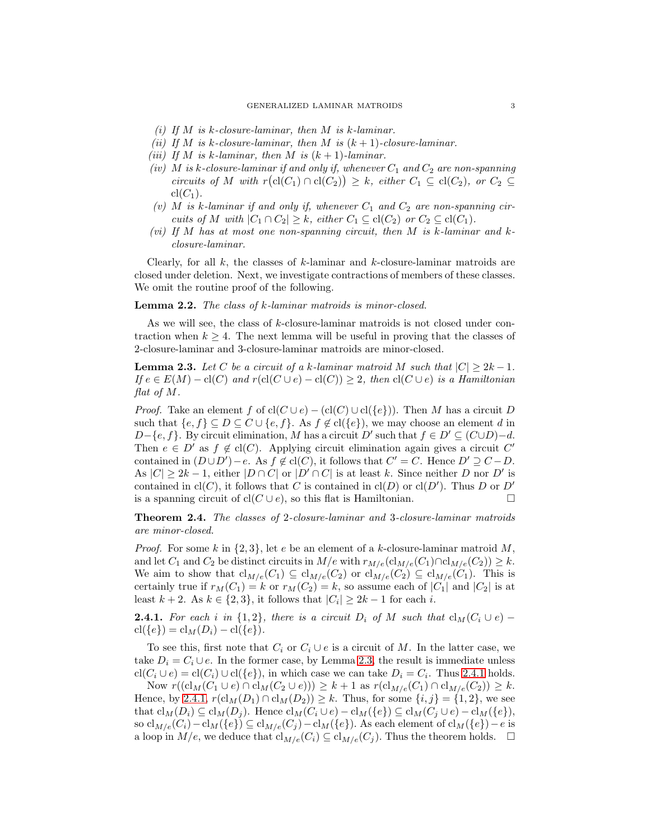- (i) If M is k-closure-laminar, then M is k-laminar.
- (ii) If M is k-closure-laminar, then M is  $(k + 1)$ -closure-laminar.
- (iii) If M is k-laminar, then M is  $(k + 1)$ -laminar.
- (iv) M is k-closure-laminar if and only if, whenever  $C_1$  and  $C_2$  are non-spanning circuits of M with  $r(\text{cl}(C_1) \cap \text{cl}(C_2)) \geq k$ , either  $C_1 \subseteq \text{cl}(C_2)$ , or  $C_2 \subseteq$  $\operatorname{cl}(C_1)$ .
- (v) M is k-laminar if and only if, whenever  $C_1$  and  $C_2$  are non-spanning circuits of M with  $|C_1 \cap C_2| \geq k$ , either  $C_1 \subseteq \text{cl}(C_2)$  or  $C_2 \subseteq \text{cl}(C_1)$ .
- (vi) If M has at most one non-spanning circuit, then M is k-laminar and kclosure-laminar.

Clearly, for all  $k$ , the classes of  $k$ -laminar and  $k$ -closure-laminar matroids are closed under deletion. Next, we investigate contractions of members of these classes. We omit the routine proof of the following.

## Lemma 2.2. The class of k-laminar matroids is minor-closed.

As we will see, the class of k-closure-laminar matroids is not closed under contraction when  $k \geq 4$ . The next lemma will be useful in proving that the classes of 2-closure-laminar and 3-closure-laminar matroids are minor-closed.

<span id="page-3-0"></span>**Lemma 2.3.** Let C be a circuit of a k-laminar matroid M such that  $|C| > 2k - 1$ . If  $e \in E(M) - \text{cl}(C)$  and  $r(\text{cl}(C \cup e) - \text{cl}(C)) \geq 2$ , then  $\text{cl}(C \cup e)$  is a Hamiltonian flat of M.

*Proof.* Take an element f of  $cl(C \cup e) - (cl(C) \cup cl({e})$ . Then M has a circuit D such that  $\{e, f\} \subseteq D \subseteq C \cup \{e, f\}$ . As  $f \notin cl(\{e\})$ , we may choose an element d in D-{e, f}. By circuit elimination, M has a circuit D' such that  $f \in D' \subseteq (C \cup D) - d$ . Then  $e \in D'$  as  $f \notin cl(C)$ . Applying circuit elimination again gives a circuit C' contained in  $(D \cup D') - e$ . As  $f \notin cl(C)$ , it follows that  $C' = C$ . Hence  $D' \supseteq C - D$ . As  $|C| \geq 2k - 1$ , either  $|D \cap C|$  or  $|D' \cap C|$  is at least k. Since neither D nor D' is contained in  $\text{cl}(C)$ , it follows that C is contained in  $\text{cl}(D)$  or  $\text{cl}(D')$ . Thus D or D' is a spanning circuit of  $cl(C \cup e)$ , so this flat is Hamiltonian.

Theorem 2.4. The classes of 2-closure-laminar and 3-closure-laminar matroids are minor-closed.

*Proof.* For some k in  $\{2,3\}$ , let e be an element of a k-closure-laminar matroid M, and let  $C_1$  and  $C_2$  be distinct circuits in  $M/e$  with  $r_{M/e}(\text{Cl}_M/e(\text{Cl}) \cap \text{cl}_{M/e}(\text{C}_2)) \geq k$ . We aim to show that  $cl_{M/e}(C_1) \subseteq cl_{M/e}(C_2)$  or  $cl_{M/e}(C_2) \subseteq cl_{M/e}(C_1)$ . This is certainly true if  $r_M(C_1) = k$  or  $r_M(C_2) = k$ , so assume each of  $|C_1|$  and  $|C_2|$  is at least  $k + 2$ . As  $k \in \{2, 3\}$ , it follows that  $|C_i| \geq 2k - 1$  for each i.

<span id="page-3-1"></span>**2.4.1.** For each i in  $\{1,2\}$ , there is a circuit D<sub>i</sub> of M such that  $cl_M(C_i \cup e)$  –  $cl({e}) = cl<sub>M</sub>(D<sub>i</sub>) - cl({e}).$ 

To see this, first note that  $C_i$  or  $C_i \cup e$  is a circuit of M. In the latter case, we take  $D_i = C_i \cup e$ . In the former case, by Lemma [2.3,](#page-3-0) the result is immediate unless  $\text{cl}(C_i \cup e) = \text{cl}(C_i) \cup \text{cl}(\{e\}),$  in which case we can take  $D_i = C_i$ . Thus [2.4.1](#page-3-1) holds.

Now  $r((\text{cl}_M(C_1 \cup e) \cap \text{cl}_M(C_2 \cup e))) \geq k + 1$  as  $r(\text{cl}_{M/e}(C_1) \cap \text{cl}_{M/e}(C_2)) \geq k$ . Hence, by [2.4.1,](#page-3-1)  $r(cl_M(D_1) \cap cl_M(D_2)) \geq k$ . Thus, for some  $\{i, j\} = \{1, 2\}$ , we see that  $\text{cl}_M(D_i) \subseteq \text{cl}_M(D_j)$ . Hence  $\text{cl}_M(C_i \cup e) - \text{cl}_M(\{e\}) \subseteq \text{cl}_M(C_j \cup e) - \text{cl}_M(\{e\}),$ so  $\text{cl}_{M/e}(C_i) - \text{cl}_M(\{e\}) \subseteq \text{cl}_{M/e}(C_j) - \text{cl}_M(\{e\})$ . As each element of  $\text{cl}_M(\{e\}) - e$  is a loop in  $M/e$ , we deduce that  $cl_{M/e}(C_i) \subseteq cl_{M/e}(C_j)$ . Thus the theorem holds.  $\Box$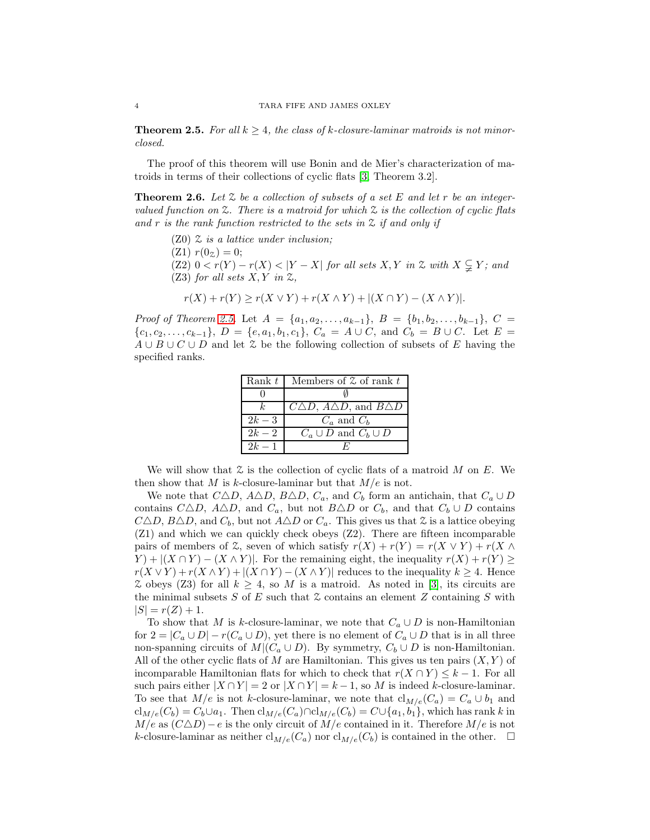<span id="page-4-0"></span>**Theorem 2.5.** For all  $k \geq 4$ , the class of k-closure-laminar matroids is not minorclosed.

The proof of this theorem will use Bonin and de Mier's characterization of matroids in terms of their collections of cyclic flats [\[3,](#page-12-18) Theorem 3.2].

**Theorem 2.6.** Let  $\mathcal{Z}$  be a collection of subsets of a set E and let r be an integervalued function on  $\mathfrak{L}$ . There is a matroid for which  $\mathfrak{L}$  is the collection of cyclic flats and r is the rank function restricted to the sets in  $\mathfrak{Z}$  if and only if

 $(Z0)$   $\mathcal Z$  is a lattice under inclusion;  $(Z1)$   $r(0_z) = 0;$ (Z2)  $0 < r(Y) - r(X) < |Y - X|$  for all sets X, Y in Z with  $X \subsetneq Y$ ; and (Z3) for all sets  $X, Y$  in  $Z$ ,

$$
r(X) + r(Y) \ge r(X \vee Y) + r(X \wedge Y) + |(X \cap Y) - (X \wedge Y)|.
$$

Proof of Theorem [2.5.](#page-4-0) Let  $A = \{a_1, a_2, \ldots, a_{k-1}\}, B = \{b_1, b_2, \ldots, b_{k-1}\}, C =$  ${c_1, c_2, \ldots, c_{k-1}}, D = {e, a_1, b_1, c_1}, C_a = A \cup C$ , and  $C_b = B \cup C$ . Let  $E =$  $A \cup B \cup C \cup D$  and let Z be the following collection of subsets of E having the specified ranks.

| Rank $t$ | Members of $\mathfrak X$ of rank $t$        |
|----------|---------------------------------------------|
|          |                                             |
|          | $C\Delta D$ , $A\Delta D$ , and $B\Delta D$ |
| $2k-3$   | $C_a$ and $C_b$                             |
| $2k-2$   | $C_a \cup D$ and $C_b \cup D$               |
| $2k-1$   |                                             |

We will show that  $\mathcal Z$  is the collection of cyclic flats of a matroid M on E. We then show that M is k-closure-laminar but that  $M/e$  is not.

We note that  $C\Delta D$ ,  $A\Delta D$ ,  $B\Delta D$ ,  $C_a$ , and  $C_b$  form an antichain, that  $C_a \cup D$ contains  $C\Delta D$ ,  $A\Delta D$ , and  $C_a$ , but not  $B\Delta D$  or  $C_b$ , and that  $C_b\cup D$  contains  $C\Delta D$ ,  $B\Delta D$ , and  $C_b$ , but not  $A\Delta D$  or  $C_a$ . This gives us that  $\mathcal Z$  is a lattice obeying (Z1) and which we can quickly check obeys (Z2). There are fifteen incomparable pairs of members of  $\mathcal{Z}$ , seven of which satisfy  $r(X) + r(Y) = r(X \vee Y) + r(X \wedge Y)$  $(Y) + |(X \cap Y) - (X \wedge Y)|$ . For the remaining eight, the inequality  $r(X) + r(Y) \geq$  $r(X \vee Y) + r(X \wedge Y) + |(X \cap Y) - (X \wedge Y)|$  reduces to the inequality  $k \geq 4$ . Hence  $\mathcal Z$  obeys (Z3) for all  $k > 4$ , so M is a matroid. As noted in [\[3\]](#page-12-18), its circuits are the minimal subsets  $S$  of  $E$  such that  $\mathcal Z$  contains an element  $Z$  containing  $S$  with  $|S| = r(Z) + 1.$ 

To show that M is k-closure-laminar, we note that  $C_a \cup D$  is non-Hamiltonian for  $2 = |C_a \cup D| - r(C_a \cup D)$ , yet there is no element of  $C_a \cup D$  that is in all three non-spanning circuits of  $M|(C_a \cup D)$ . By symmetry,  $C_b \cup D$  is non-Hamiltonian. All of the other cyclic flats of M are Hamiltonian. This gives us ten pairs  $(X, Y)$  of incomparable Hamiltonian flats for which to check that  $r(X \cap Y) \leq k-1$ . For all such pairs either  $|X \cap Y| = 2$  or  $|X \cap Y| = k - 1$ , so M is indeed k-closure-laminar. To see that  $M/e$  is not k-closure-laminar, we note that  $cl_{M/e}(C_a) = C_a \cup b_1$  and  $\text{cl}_{M/e}(C_b) = C_b \cup a_1$ . Then  $\text{cl}_{M/e}(C_a) \cap \text{cl}_{M/e}(C_b) = C \cup \{a_1, b_1\}$ , which has rank k in  $M/e$  as  $(C\Delta D) - e$  is the only circuit of  $M/e$  contained in it. Therefore  $M/e$  is not k-closure-laminar as neither  $\text{cl}_{M/e}(C_a)$  nor  $\text{cl}_{M/e}(C_b)$  is contained in the other.  $\Box$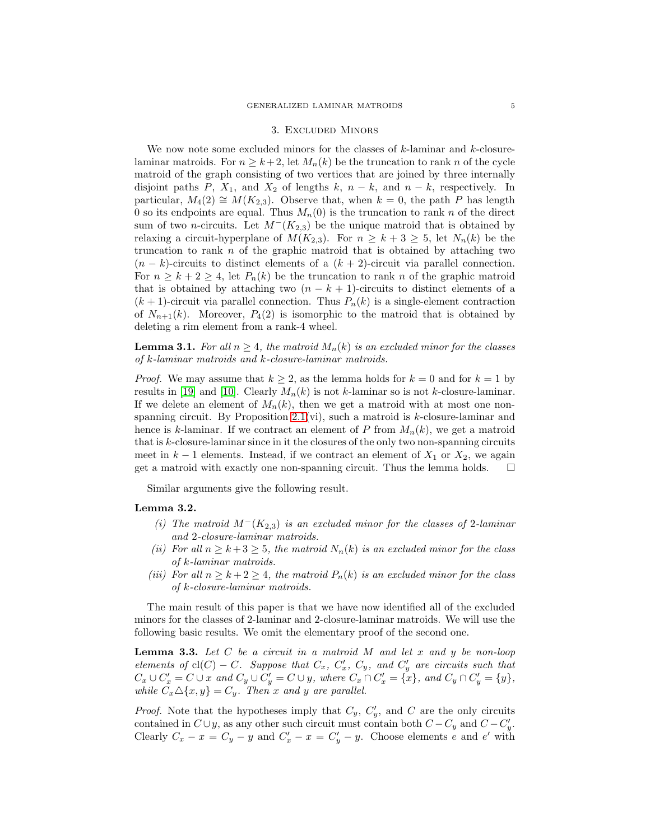#### 3. Excluded Minors

<span id="page-5-0"></span>We now note some excluded minors for the classes of  $k$ -laminar and  $k$ -closurelaminar matroids. For  $n \geq k+2$ , let  $M_n(k)$  be the truncation to rank n of the cycle matroid of the graph consisting of two vertices that are joined by three internally disjoint paths P,  $X_1$ , and  $X_2$  of lengths k,  $n - k$ , and  $n - k$ , respectively. In particular,  $M_4(2) \cong M(K_{2,3})$ . Observe that, when  $k = 0$ , the path P has length 0 so its endpoints are equal. Thus  $M_n(0)$  is the truncation to rank n of the direct sum of two *n*-circuits. Let  $M^-(K_{2,3})$  be the unique matroid that is obtained by relaxing a circuit-hyperplane of  $M(K_{2,3})$ . For  $n \geq k+3 \geq 5$ , let  $N_n(k)$  be the truncation to rank  $n$  of the graphic matroid that is obtained by attaching two  $(n - k)$ -circuits to distinct elements of a  $(k + 2)$ -circuit via parallel connection. For  $n \geq k+2 \geq 4$ , let  $P_n(k)$  be the truncation to rank n of the graphic matroid that is obtained by attaching two  $(n - k + 1)$ -circuits to distinct elements of a  $(k + 1)$ -circuit via parallel connection. Thus  $P_n(k)$  is a single-element contraction of  $N_{n+1}(k)$ . Moreover,  $P_4(2)$  is isomorphic to the matroid that is obtained by deleting a rim element from a rank-4 wheel.

<span id="page-5-2"></span>**Lemma 3.1.** For all  $n \geq 4$ , the matroid  $M_n(k)$  is an excluded minor for the classes of k-laminar matroids and k-closure-laminar matroids.

*Proof.* We may assume that  $k \geq 2$ , as the lemma holds for  $k = 0$  and for  $k = 1$  by results in [\[19\]](#page-12-17) and [\[10\]](#page-12-16). Clearly  $M_n(k)$  is not k-laminar so is not k-closure-laminar. If we delete an element of  $M_n(k)$ , then we get a matroid with at most one nonspanning circuit. By Proposition  $2.1(vi)$ , such a matroid is k-closure-laminar and hence is k-laminar. If we contract an element of P from  $M_n(k)$ , we get a matroid that is  $k$ -closure-laminar since in it the closures of the only two non-spanning circuits meet in  $k-1$  elements. Instead, if we contract an element of  $X_1$  or  $X_2$ , we again get a matroid with exactly one non-spanning circuit. Thus the lemma holds.  $\square$ 

Similar arguments give the following result.

#### <span id="page-5-3"></span>Lemma 3.2.

- (i) The matroid  $M^{-}(K_{2,3})$  is an excluded minor for the classes of 2-laminar and 2-closure-laminar matroids.
- (ii) For all  $n \geq k+3 \geq 5$ , the matroid  $N_n(k)$  is an excluded minor for the class of k-laminar matroids.
- (iii) For all  $n \geq k+2 \geq 4$ , the matroid  $P_n(k)$  is an excluded minor for the class of k-closure-laminar matroids.

The main result of this paper is that we have now identified all of the excluded minors for the classes of 2-laminar and 2-closure-laminar matroids. We will use the following basic results. We omit the elementary proof of the second one.

<span id="page-5-1"></span>**Lemma 3.3.** Let  $C$  be a circuit in a matroid  $M$  and let  $x$  and  $y$  be non-loop elements of  $cl(C) - C$ . Suppose that  $C_x$ ,  $C'_x$ ,  $C_y$ , and  $C'_y$  are circuits such that  $C_x \cup C'_x = C \cup x$  and  $C_y \cup C'_y = C \cup y$ , where  $C_x \cap C'_x = \{x\}$ , and  $C_y \cap C'_y = \{y\}$ , while  $C_x \Delta \{x, y\} = C_y$ . Then x and y are parallel.

*Proof.* Note that the hypotheses imply that  $C_y$ ,  $C'_y$ , and C are the only circuits contained in  $C \cup y$ , as any other such circuit must contain both  $C - C_y$  and  $C - C'_y$ . Clearly  $C_x - x = C_y - y$  and  $C'_x - x = C'_y - y$ . Choose elements e and e' with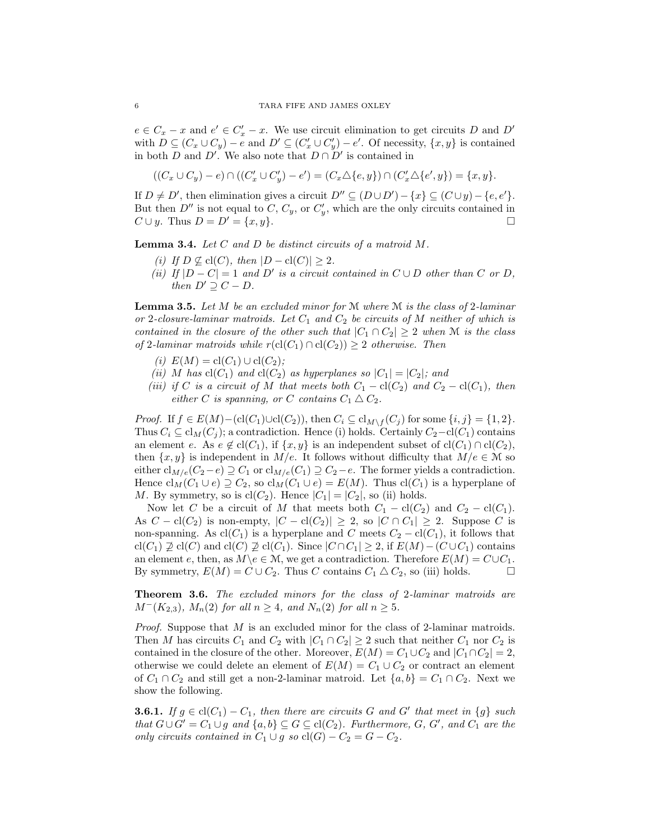$e \in C_x - x$  and  $e' \in C'_x - x$ . We use circuit elimination to get circuits D and D' with  $D \subseteq (C_x \cup C_y) - e$  and  $D' \subseteq (C'_x \cup C'_y) - e'$ . Of necessity,  $\{x, y\}$  is contained in both D and D'. We also note that  $D \cap D'$  is contained in

$$
((C_x \cup C_y) - e) \cap ((C'_x \cup C'_y) - e') = (C_x \triangle \{e, y\}) \cap (C'_x \triangle \{e', y\}) = \{x, y\}.
$$

If  $D \neq D'$ , then elimination gives a circuit  $D'' \subseteq (D \cup D') - \{x\} \subseteq (C \cup y) - \{e, e'\}.$ But then  $D''$  is not equal to C,  $C_y$ , or  $C'_y$ , which are the only circuits contained in  $C \cup y$ . Thus  $D = D' = \{x, y\}.$ 

<span id="page-6-0"></span>**Lemma 3.4.** Let  $C$  and  $D$  be distinct circuits of a matroid  $M$ .

- (i) If  $D \not\subseteq cl(C)$ , then  $|D cl(C)| \geq 2$ .
- (ii) If  $|D C| = 1$  and D' is a circuit contained in  $C \cup D$  other than C or D, then  $D' \supseteq C - D$ .

<span id="page-6-2"></span>**Lemma 3.5.** Let M be an excluded minor for M where M is the class of 2-laminar or 2-closure-laminar matroids. Let  $C_1$  and  $C_2$  be circuits of M neither of which is contained in the closure of the other such that  $|C_1 \cap C_2| \geq 2$  when M is the class of 2-laminar matroids while  $r(cl(C_1) \cap cl(C_2)) \geq 2$  otherwise. Then

- (i)  $E(M) = cl(C_1) \cup cl(C_2);$
- (ii) M has  $cl(C_1)$  and  $cl(C_2)$  as hyperplanes so  $|C_1| = |C_2|$ ; and
- (iii) if C is a circuit of M that meets both  $C_1 \text{cl}(C_2)$  and  $C_2 \text{cl}(C_1)$ , then either C is spanning, or C contains  $C_1 \triangle C_2$ .

*Proof.* If  $f \in E(M) - (cl(C_1) \cup cl(C_2))$ , then  $C_i \subseteq cl_{M \setminus f}(C_j)$  for some  $\{i, j\} = \{1, 2\}$ . Thus  $C_i \subseteq cl_M(C_i)$ ; a contradiction. Hence (i) holds. Certainly  $C_2-cl(C_1)$  contains an element e. As  $e \notin \text{cl}(C_1)$ , if  $\{x, y\}$  is an independent subset of  $\text{cl}(C_1) \cap \text{cl}(C_2)$ , then  $\{x, y\}$  is independent in  $M/e$ . It follows without difficulty that  $M/e \in \mathcal{M}$  so either  $cl_{M/e}(C_2 - e) \supseteq C_1$  or  $cl_{M/e}(C_1) \supseteq C_2 - e$ . The former yields a contradiction. Hence  $\text{cl}_M(C_1 \cup e) \supseteq C_2$ , so  $\text{cl}_M(C_1 \cup e) = E(M)$ . Thus  $\text{cl}(C_1)$  is a hyperplane of M. By symmetry, so is  $cl(C_2)$ . Hence  $|C_1| = |C_2|$ , so (ii) holds.

Now let C be a circuit of M that meets both  $C_1 - \text{cl}(C_2)$  and  $C_2 - \text{cl}(C_1)$ . As  $C - cl(C_2)$  is non-empty,  $|C - cl(C_2)| \geq 2$ , so  $|C \cap C_1| \geq 2$ . Suppose C is non-spanning. As  $cl(C_1)$  is a hyperplane and C meets  $C_2 - cl(C_1)$ , it follows that  $\text{cl}(C_1) \not\supseteq \text{cl}(C)$  and  $\text{cl}(C) \not\supseteq \text{cl}(C_1)$ . Since  $|C \cap C_1| \geq 2$ , if  $E(M) - (C \cup C_1)$  contains an element e, then, as  $M\backslash e \in \mathcal{M}$ , we get a contradiction. Therefore  $E(M) = C \cup C_1$ . By symmetry,  $E(M) = C \cup C_2$ . Thus C contains  $C_1 \triangle C_2$ , so (iii) holds.

<span id="page-6-3"></span>Theorem 3.6. The excluded minors for the class of 2-laminar matroids are  $M^-(K_{2,3})$ ,  $M_n(2)$  for all  $n \geq 4$ , and  $N_n(2)$  for all  $n \geq 5$ .

*Proof.* Suppose that  $M$  is an excluded minor for the class of 2-laminar matroids. Then M has circuits  $C_1$  and  $C_2$  with  $|C_1 \cap C_2| \geq 2$  such that neither  $C_1$  nor  $C_2$  is contained in the closure of the other. Moreover,  $E(M) = C_1 \cup C_2$  and  $|C_1 \cap C_2| = 2$ , otherwise we could delete an element of  $E(M) = C_1 \cup C_2$  or contract an element of  $C_1 \cap C_2$  and still get a non-2-laminar matroid. Let  $\{a, b\} = C_1 \cap C_2$ . Next we show the following.

<span id="page-6-1"></span>**3.6.1.** If  $g \in \text{cl}(C_1) - C_1$ , then there are circuits G and G' that meet in  $\{g\}$  such that  $G \cup G' = C_1 \cup g$  and  $\{a, b\} \subseteq G \subseteq cl(C_2)$ . Furthermore, G, G', and  $C_1$  are the only circuits contained in  $C_1 \cup g$  so  $cl(G) - C_2 = G - C_2$ .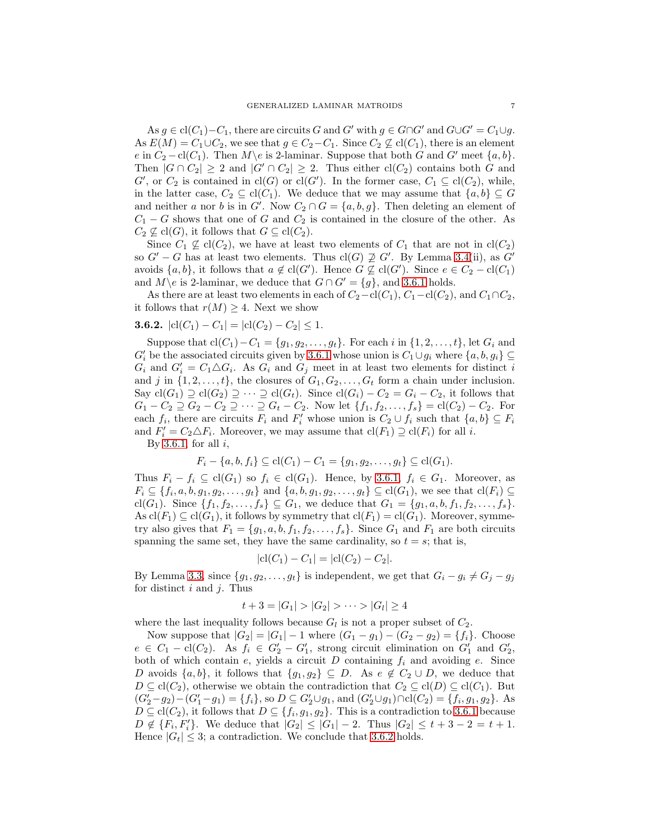As  $g \in \text{cl}(C_1)-C_1$ , there are circuits G and G' with  $g \in G \cap G'$  and  $G \cup G' = C_1 \cup g$ . As  $E(M) = C_1 \cup C_2$ , we see that  $g \in C_2 - C_1$ . Since  $C_2 \not\subseteq cl(C_1)$ , there is an element e in  $C_2 - \text{cl}(C_1)$ . Then  $M \setminus e$  is 2-laminar. Suppose that both G and G' meet  $\{a, b\}$ . Then  $|G \cap C_2| \geq 2$  and  $|G' \cap C_2| \geq 2$ . Thus either  $cl(C_2)$  contains both G and G', or  $C_2$  is contained in  $cl(G)$  or  $cl(G')$ . In the former case,  $C_1 \subseteq cl(C_2)$ , while, in the latter case,  $C_2 \subseteq \text{cl}(C_1)$ . We deduce that we may assume that  $\{a, b\} \subseteq G$ and neither a nor b is in G'. Now  $C_2 \cap G = \{a, b, g\}$ . Then deleting an element of  $C_1 - G$  shows that one of G and  $C_2$  is contained in the closure of the other. As  $C_2 \nsubseteq cl(G)$ , it follows that  $G \subseteq cl(C_2)$ .

Since  $C_1 \not\subseteq cl(C_2)$ , we have at least two elements of  $C_1$  that are not in  $cl(C_2)$ so  $G' - G$  has at least two elements. Thus  $\text{cl}(G) \not\supseteq G'$ . By Lemma [3.4\(](#page-6-0)ii), as  $G'$ avoids  $\{a, b\}$ , it follows that  $a \notin \text{cl}(G')$ . Hence  $G \nsubseteq \text{cl}(G')$ . Since  $e \in C_2 - \text{cl}(C_1)$ and  $M\$ e is 2-laminar, we deduce that  $G \cap G' = \{g\}$ , and [3.6.1](#page-6-1) holds.

As there are at least two elements in each of  $C_2-\text{cl}(C_1)$ ,  $C_1-\text{cl}(C_2)$ , and  $C_1\cap C_2$ , it follows that  $r(M) \geq 4$ . Next we show

<span id="page-7-0"></span>**3.6.2.** 
$$
|cl(C_1) - C_1| = |cl(C_2) - C_2| \leq 1.
$$

Suppose that  $cl(C_1) - C_1 = \{g_1, g_2, \ldots, g_t\}$ . For each i in  $\{1, 2, \ldots, t\}$ , let  $G_i$  and  $G'_i$  be the associated circuits given by [3.6.1](#page-6-1) whose union is  $C_1 \cup g_i$  where  $\{a, b, g_i\} \subseteq$  $G_i$  and  $G'_i = C_1 \triangle G_i$ . As  $G_i$  and  $G_j$  meet in at least two elements for distinct i and j in  $\{1, 2, \ldots, t\}$ , the closures of  $G_1, G_2, \ldots, G_t$  form a chain under inclusion. Say  $cl(G_1) \supseteq cl(G_2) \supseteq \cdots \supseteq cl(G_t)$ . Since  $cl(G_i) - C_2 = G_i - C_2$ , it follows that  $G_1 - C_2 \supseteq G_2 - C_2 \supseteq \cdots \supseteq G_t - C_2$ . Now let  $\{f_1, f_2, \ldots, f_s\} = \text{cl}(C_2) - C_2$ . For each  $f_i$ , there are circuits  $F_i$  and  $F'_i$  whose union is  $C_2 \cup f_i$  such that  $\{a, b\} \subseteq F_i$ and  $F'_i = C_2 \triangle F_i$ . Moreover, we may assume that  $\text{cl}(F_1) \supseteq \text{cl}(F_i)$  for all i.

By [3.6.1,](#page-6-1) for all  $i$ ,

$$
F_i - \{a, b, f_i\} \subseteq \text{cl}(C_1) - C_1 = \{g_1, g_2, \dots, g_t\} \subseteq \text{cl}(G_1).
$$

Thus  $F_i - f_i \subseteq \text{cl}(G_1)$  so  $f_i \in \text{cl}(G_1)$ . Hence, by [3.6.1,](#page-6-1)  $f_i \in G_1$ . Moreover, as  $F_i \subseteq \{f_i, a, b, g_1, g_2, \ldots, g_t\}$  and  $\{a, b, g_1, g_2, \ldots, g_t\} \subseteq \text{cl}(G_1)$ , we see that  $\text{cl}(F_i) \subseteq$ cl(G<sub>1</sub>). Since  $\{f_1, f_2, \ldots, f_s\} \subseteq G_1$ , we deduce that  $G_1 = \{g_1, a, b, f_1, f_2, \ldots, f_s\}.$ As  $\text{cl}(F_1) \subseteq \text{cl}(G_1)$ , it follows by symmetry that  $\text{cl}(F_1) = \text{cl}(G_1)$ . Moreover, symmetry also gives that  $F_1 = \{g_1, a, b, f_1, f_2, \ldots, f_s\}$ . Since  $G_1$  and  $F_1$  are both circuits spanning the same set, they have the same cardinality, so  $t = s$ ; that is,

$$
|cl(C_1) - C_1| = |cl(C_2) - C_2|.
$$

By Lemma [3.3,](#page-5-1) since  $\{g_1, g_2, \ldots, g_t\}$  is independent, we get that  $G_i - g_i \neq G_j - g_j$ for distinct  $i$  and  $j$ . Thus

$$
t+3=|G_1|>|G_2|>\cdots>|G_l|\geq 4
$$

where the last inequality follows because  $G_l$  is not a proper subset of  $C_2$ .

Now suppose that  $|G_2| = |G_1| - 1$  where  $(G_1 - g_1) - (G_2 - g_2) = \{f_i\}$ . Choose  $e \in C_1 - \text{cl}(C_2)$ . As  $f_i \in G'_2 - G'_1$ , strong circuit elimination on  $G'_1$  and  $G'_2$ , both of which contain  $e$ , yields a circuit  $D$  containing  $f_i$  and avoiding  $e$ . Since D avoids  $\{a, b\}$ , it follows that  $\{g_1, g_2\} \subseteq D$ . As  $e \notin C_2 \cup D$ , we deduce that  $D \subseteq cl(C_2)$ , otherwise we obtain the contradiction that  $C_2 \subseteq cl(D) \subseteq cl(C_1)$ . But  $(G'_2-g_2)-(G'_1-g_1)=\{f_i\}$ , so  $D\subseteq G'_2\cup g_1$ , and  $(G'_2\cup g_1)\cap cl(C_2)=\{f_i,g_1,g_2\}$ . As  $D \subseteq cl(C_2)$ , it follows that  $D \subseteq \{f_i, g_1, g_2\}$ . This is a contradiction to [3.6.1](#page-6-1) because  $D \notin \{F_i, F'_i\}$ . We deduce that  $|G_2| \leq |G_1| - 2$ . Thus  $|G_2| \leq t + 3 - 2 = t + 1$ . Hence  $|G_t| \leq 3$ ; a contradiction. We conclude that [3.6.2](#page-7-0) holds.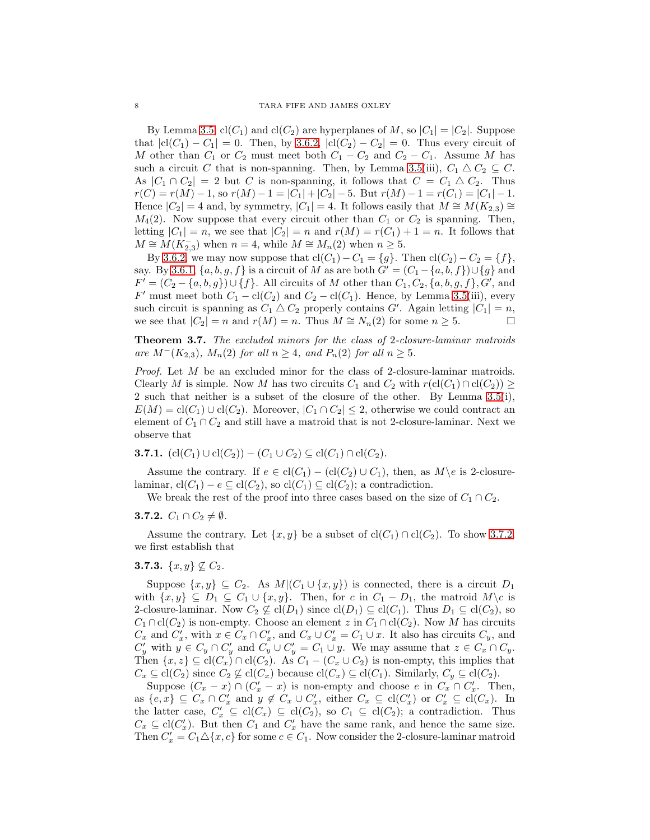By Lemma [3.5,](#page-6-2)  $cl(C_1)$  and  $cl(C_2)$  are hyperplanes of M, so  $|C_1| = |C_2|$ . Suppose that  $|cl(C_1) - C_1| = 0$ . Then, by [3.6.2,](#page-7-0)  $|cl(C_2) - C_2| = 0$ . Thus every circuit of M other than  $C_1$  or  $C_2$  must meet both  $C_1 - C_2$  and  $C_2 - C_1$ . Assume M has such a circuit C that is non-spanning. Then, by Lemma [3.5\(](#page-6-2)iii),  $C_1 \triangle C_2 \subseteq C$ . As  $|C_1 \cap C_2| = 2$  but C is non-spanning, it follows that  $C = C_1 \triangle C_2$ . Thus  $r(C) = r(M) - 1$ , so  $r(M) - 1 = |C_1| + |C_2| - 5$ . But  $r(M) - 1 = r(C_1) = |C_1| - 1$ . Hence  $|C_2| = 4$  and, by symmetry,  $|C_1| = 4$ . It follows easily that  $M \cong M(K_{2,3}) \cong$  $M_4(2)$ . Now suppose that every circuit other than  $C_1$  or  $C_2$  is spanning. Then, letting  $|C_1| = n$ , we see that  $|C_2| = n$  and  $r(M) = r(C_1) + 1 = n$ . It follows that  $M \cong M(K_{2,3}^-)$  when  $n = 4$ , while  $M \cong M_n(2)$  when  $n \geq 5$ .

By [3.6.2,](#page-7-0) we may now suppose that  $cl(C_1) - C_1 = \{g\}$ . Then  $cl(C_2) - C_2 = \{f\}$ , say. By [3.6.1,](#page-6-1)  $\{a, b, g, f\}$  is a circuit of M as are both  $G' = (C_1 - \{a, b, f\}) \cup \{g\}$  and  $F' = (C_2 - \{a, b, g\}) \cup \{f\}$ . All circuits of M other than  $C_1, C_2, \{a, b, g, f\}$ ,  $G'$ , and F' must meet both  $C_1 - \text{cl}(C_2)$  and  $C_2 - \text{cl}(C_1)$ . Hence, by Lemma [3.5\(](#page-6-2)iii), every such circuit is spanning as  $C_1 \triangle C_2$  properly contains  $G'$ . Again letting  $|C_1| = n$ , we see that  $|C_2| = n$  and  $r(M) = n$ . Thus  $M \cong N_n(2)$  for some  $n \geq 5$ .

<span id="page-8-3"></span>Theorem 3.7. The excluded minors for the class of 2-closure-laminar matroids are  $M^{-}(K_{2,3}), M_{n}(2)$  for all  $n \geq 4$ , and  $P_{n}(2)$  for all  $n \geq 5$ .

Proof. Let M be an excluded minor for the class of 2-closure-laminar matroids. Clearly M is simple. Now M has two circuits  $C_1$  and  $C_2$  with  $r(\text{cl}(C_1) \cap \text{cl}(C_2)) \geq$ 2 such that neither is a subset of the closure of the other. By Lemma [3.5\(](#page-6-2)i),  $E(M) = cl(C_1) \cup cl(C_2)$ . Moreover,  $|C_1 \cap C_2| \leq 2$ , otherwise we could contract an element of  $C_1 \cap C_2$  and still have a matroid that is not 2-closure-laminar. Next we observe that

<span id="page-8-2"></span>**3.7.1.** 
$$
(\text{cl}(C_1) \cup \text{cl}(C_2)) - (C_1 \cup C_2) \subseteq \text{cl}(C_1) \cap \text{cl}(C_2).
$$

Assume the contrary. If  $e \in \text{cl}(C_1) - (\text{cl}(C_2) \cup C_1)$ , then, as  $M \geq$  is 2-closurelaminar,  $\text{cl}(C_1) - e \subseteq \text{cl}(C_2)$ , so  $\text{cl}(C_1) \subseteq \text{cl}(C_2)$ ; a contradiction.

We break the rest of the proof into three cases based on the size of  $C_1 \cap C_2$ .

# <span id="page-8-0"></span>**3.7.2.**  $C_1 \cap C_2 \neq \emptyset$ .

Assume the contrary. Let  $\{x, y\}$  be a subset of  $cl(C_1) \cap cl(C_2)$ . To show [3.7.2,](#page-8-0) we first establish that

# <span id="page-8-1"></span>3.7.3.  $\{x, y\} \nsubseteq C_2$ .

Suppose  $\{x, y\} \subseteq C_2$ . As  $M | (C_1 \cup \{x, y\})$  is connected, there is a circuit  $D_1$ with  $\{x, y\} \subseteq D_1 \subseteq C_1 \cup \{x, y\}$ . Then, for c in  $C_1 - D_1$ , the matroid  $M \backslash c$  is 2-closure-laminar. Now  $C_2 \not\subseteq \text{cl}(D_1)$  since  $\text{cl}(D_1) \subseteq \text{cl}(C_1)$ . Thus  $D_1 \subseteq \text{cl}(C_2)$ , so  $C_1 \cap \text{cl}(C_2)$  is non-empty. Choose an element z in  $C_1 \cap \text{cl}(C_2)$ . Now M has circuits  $C_x$  and  $C'_x$ , with  $x \in C_x \cap C'_x$ , and  $C_x \cup C'_x = C_1 \cup x$ . It also has circuits  $C_y$ , and  $C'_y$  with  $y \in C_y \cap C'_y$  and  $C_y \cup C'_y = C_1 \cup y$ . We may assume that  $z \in C_x \cap C_y$ . Then  $\{x, z\} \subseteq \text{cl}(C_x) \cap \text{cl}(C_2)$ . As  $C_1 - (C_x \cup C_2)$  is non-empty, this implies that  $C_x \subseteq \text{cl}(C_2)$  since  $C_2 \nsubseteq \text{cl}(C_x)$  because  $\text{cl}(C_x) \subseteq \text{cl}(C_1)$ . Similarly,  $C_y \subseteq \text{cl}(C_2)$ .

Suppose  $(C_x - x) \cap (C'_x - x)$  is non-empty and choose e in  $C_x \cap C'_x$ . Then, as  $\{e, x\} \subseteq C_x \cap C'_x$  and  $y \notin C_x \cup C'_x$ , either  $C_x \subseteq \text{cl}(C'_x)$  or  $C'_x \subseteq \text{cl}(C_x)$ . In the latter case,  $C'_x \subseteq \text{cl}(C_x) \subseteq \text{cl}(C_2)$ , so  $C_1 \subseteq \text{cl}(C_2)$ ; a contradiction. Thus  $C_x \subseteq \text{cl}(C'_x)$ . But then  $C_1$  and  $C'_x$  have the same rank, and hence the same size. Then  $C'_x = C_1 \Delta \{x, c\}$  for some  $c \in C_1$ . Now consider the 2-closure-laminar matroid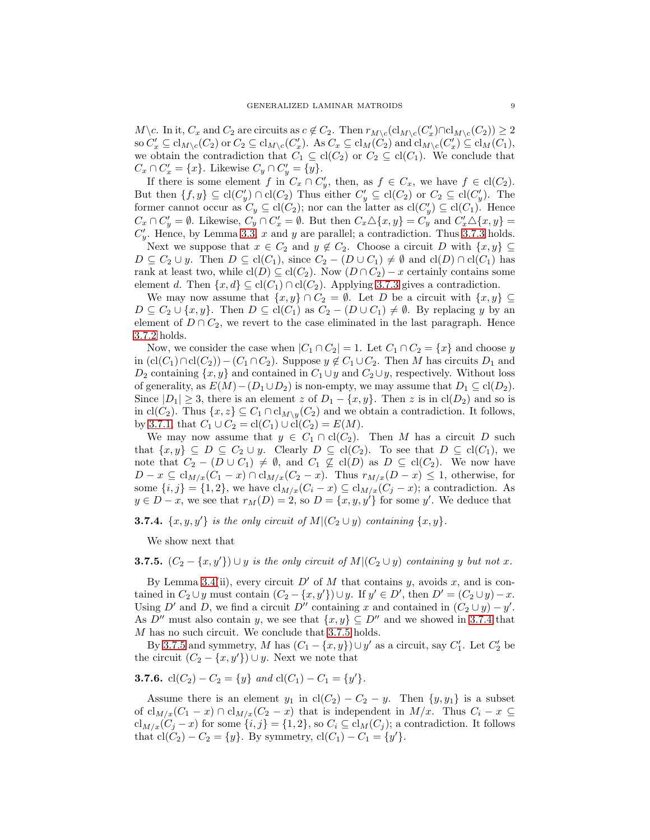$M\backslash c$ . In it,  $C_x$  and  $C_2$  are circuits as  $c \notin C_2$ . Then  $r_{M\backslash c}(\text{cl}_{M\backslash c}(C'_x) \cap \text{cl}_{M\backslash c}(C'_2)) \geq 2$ so  $C'_x \subseteq \text{cl}_{M \setminus c}(C_2)$  or  $C_2 \subseteq \text{cl}_{M \setminus c}(C'_x)$ . As  $C_x \subseteq \text{cl}_{M}(C_2)$  and  $\text{cl}_{M \setminus c}(C'_x) \subseteq \text{cl}_{M}(C_1)$ , we obtain the contradiction that  $C_1 \subseteq \text{cl}(C_2)$  or  $C_2 \subseteq \text{cl}(C_1)$ . We conclude that  $C_x \cap C'_x = \{x\}.$  Likewise  $C_y \cap C'_y = \{y\}.$ 

If there is some element f in  $C_x \cap C'_y$ , then, as  $f \in C_x$ , we have  $f \in cl(C_2)$ . But then  $\{f, y\} \subseteq \text{cl}(C'_y) \cap \text{cl}(C_2)$  Thus either  $C'_y \subseteq \text{cl}(C_2)$  or  $C_2 \subseteq \text{cl}(C'_y)$ . The former cannot occur as  $C_y \subseteq \text{cl}(C_2)$ ; nor can the latter as  $\text{cl}(C'_y) \subseteq \text{cl}(C_1)$ . Hence  $C_x \cap C'_y = \emptyset$ . Likewise,  $C_y \cap C'_x = \emptyset$ . But then  $C_x \triangle \{x, y\} = C_y$  and  $C'_x \triangle \{x, y\} =$  $C'_y$ . Hence, by Lemma [3.3,](#page-5-1) x and y are parallel; a contradiction. Thus [3.7.3](#page-8-1) holds.

Next we suppose that  $x \in C_2$  and  $y \notin C_2$ . Choose a circuit D with  $\{x, y\} \subseteq$  $D \subseteq C_2 \cup y$ . Then  $D \subseteq \text{cl}(C_1)$ , since  $C_2 - (D \cup C_1) \neq \emptyset$  and  $\text{cl}(D) \cap \text{cl}(C_1)$  has rank at least two, while  $\text{cl}(D) \subseteq \text{cl}(C_2)$ . Now  $(D \cap C_2) - x$  certainly contains some element d. Then  $\{x, d\} \subseteq \text{cl}(C_1) \cap \text{cl}(C_2)$ . Applying [3.7.3](#page-8-1) gives a contradiction.

We may now assume that  $\{x, y\} \cap C_2 = \emptyset$ . Let D be a circuit with  $\{x, y\} \subseteq$  $D \subseteq C_2 \cup \{x, y\}.$  Then  $D \subseteq cl(C_1)$  as  $C_2 - (D \cup C_1) \neq \emptyset$ . By replacing y by an element of  $D \cap C_2$ , we revert to the case eliminated in the last paragraph. Hence [3.7.2](#page-8-0) holds.

Now, we consider the case when  $|C_1 \cap C_2| = 1$ . Let  $C_1 \cap C_2 = \{x\}$  and choose y in  $(cl(C_1) \cap cl(C_2)) - (C_1 \cap C_2)$ . Suppose  $y \notin C_1 \cup C_2$ . Then M has circuits  $D_1$  and  $D_2$  containing  $\{x, y\}$  and contained in  $C_1 \cup y$  and  $C_2 \cup y$ , respectively. Without loss of generality, as  $E(M) - (D_1 \cup D_2)$  is non-empty, we may assume that  $D_1 \subseteq cl(D_2)$ . Since  $|D_1| \geq 3$ , there is an element z of  $D_1 - \{x, y\}$ . Then z is in cl( $D_2$ ) and so is in cl(C<sub>2</sub>). Thus  $\{x, z\} \subseteq C_1 \cap \text{cl}_{M\setminus y}(C_2)$  and we obtain a contradiction. It follows, by [3.7.1,](#page-8-2) that  $C_1 \cup C_2 = \text{cl}(C_1) \cup \text{cl}(C_2) = E(M)$ .

We may now assume that  $y \in C_1 \cap \text{cl}(C_2)$ . Then M has a circuit D such that  $\{x, y\} \subseteq D \subseteq C_2 \cup y$ . Clearly  $D \subseteq cl(C_2)$ . To see that  $D \subseteq cl(C_1)$ , we note that  $C_2 - (D \cup C_1) \neq \emptyset$ , and  $C_1 \not\subseteq cl(D)$  as  $D \subseteq cl(C_2)$ . We now have  $D - x \subseteq cl_{M/x}(C_1 - x) \cap cl_{M/x}(C_2 - x)$ . Thus  $r_{M/x}(D - x) \leq 1$ , otherwise, for some  $\{i, j\} = \{1, 2\}$ , we have  $cl_{M/x}(C_i - x) \subseteq cl_{M/x}(C_j - x)$ ; a contradiction. As  $y \in D - x$ , we see that  $r_M(D) = 2$ , so  $D = \{x, y, y'\}$  for some y'. We deduce that

<span id="page-9-0"></span>**3.7.4.**  $\{x, y, y'\}$  is the only circuit of  $M|(C_2 \cup y)$  containing  $\{x, y\}$ .

We show next that

<span id="page-9-1"></span>**3.7.5.**  $(C_2 - \{x, y'\}) \cup y$  is the only circuit of  $M(C_2 \cup y)$  containing y but not x.

By Lemma [3.4\(](#page-6-0)ii), every circuit  $D'$  of M that contains y, avoids x, and is contained in  $C_2 \cup y$  must contain  $(C_2 - \{x, y'\}) \cup y$ . If  $y' \in D'$ , then  $D' = (C_2 \cup y) - x$ . Using D' and D, we find a circuit D'' containing x and contained in  $(C_2 \cup y) - y'$ . As  $D''$  must also contain y, we see that  $\{x, y\} \subseteq D''$  and we showed in [3.7.4](#page-9-0) that M has no such circuit. We conclude that [3.7.5](#page-9-1) holds.

By [3.7.5](#page-9-1) and symmetry, M has  $(C_1 - \{x, y\}) \cup y'$  as a circuit, say  $C'_1$ . Let  $C'_2$  be the circuit  $(C_2 - \{x, y'\}) \cup y$ . Next we note that

**3.7.6.** 
$$
cl(C_2) - C_2 = \{y\}
$$
 and  $cl(C_1) - C_1 = \{y'\}.$ 

Assume there is an element  $y_1$  in  $cl(C_2) - C_2 - y$ . Then  $\{y, y_1\}$  is a subset of  $\text{cl}_{M/x}(C_1 - x) \cap \text{cl}_{M/x}(C_2 - x)$  that is independent in  $M/x$ . Thus  $C_i - x \subseteq$  $cl_{M/x}(C_i - x)$  for some  $\{i, j\} = \{1, 2\}$ , so  $C_i \subseteq cl_M(C_i)$ ; a contradiction. It follows that  $cl(C_2) - C_2 = \{y\}$ . By symmetry,  $cl(C_1) - C_1 = \{y'\}.$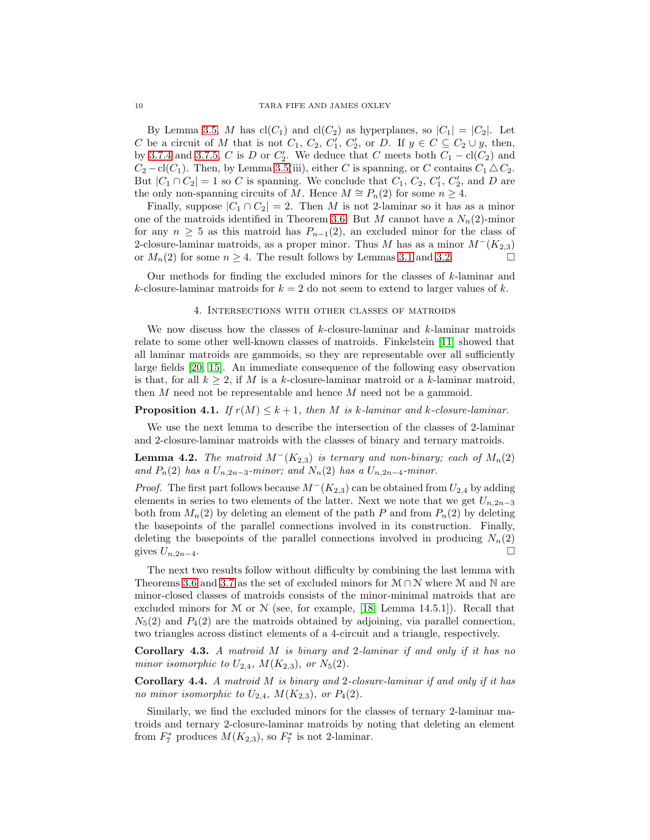By Lemma [3.5,](#page-6-2) M has  $cl(C_1)$  and  $cl(C_2)$  as hyperplanes, so  $|C_1| = |C_2|$ . Let C be a circuit of M that is not  $C_1$ ,  $C_2$ ,  $C'_1$ ,  $C'_2$ , or D. If  $y \in C \subseteq C_2 \cup y$ , then, by [3.7.4](#page-9-0) and [3.7.5,](#page-9-1) C is D or  $C'_2$ . We deduce that C meets both  $C_1 - \text{cl}(C_2)$  and  $C_2 - \text{cl}(C_1)$ . Then, by Lemma [3.5\(](#page-6-2)iii), either C is spanning, or C contains  $C_1 \triangle C_2$ . But  $|C_1 \cap C_2| = 1$  so C is spanning. We conclude that  $C_1$ ,  $C_2$ ,  $C'_1$ ,  $C'_2$ , and D are the only non-spanning circuits of M. Hence  $M \cong P_n(2)$  for some  $n \geq 4$ .

Finally, suppose  $|C_1 \cap C_2| = 2$ . Then M is not 2-laminar so it has as a minor one of the matroids identified in Theorem [3.6.](#page-6-3) But M cannot have a  $N_n(2)$ -minor for any  $n \geq 5$  as this matroid has  $P_{n-1}(2)$ , an excluded minor for the class of 2-closure-laminar matroids, as a proper minor. Thus M has as a minor  $M^-(K_{2,3})$ or  $M_n(2)$  for some  $n \geq 4$ . The result follows by Lemmas [3.1](#page-5-2) and [3.2.](#page-5-3)

<span id="page-10-0"></span>Our methods for finding the excluded minors for the classes of  $k$ -laminar and k-closure-laminar matroids for  $k = 2$  do not seem to extend to larger values of k.

#### 4. Intersections with other classes of matroids

We now discuss how the classes of  $k$ -closure-laminar and  $k$ -laminar matroids relate to some other well-known classes of matroids. Finkelstein [\[11\]](#page-12-6) showed that all laminar matroids are gammoids, so they are representable over all sufficiently large fields [\[20,](#page-12-19) [15\]](#page-12-20). An immediate consequence of the following easy observation is that, for all  $k > 2$ , if M is a k-closure-laminar matroid or a k-laminar matroid, then M need not be representable and hence M need not be a gammoid.

## **Proposition 4.1.** If  $r(M) \leq k+1$ , then M is k-laminar and k-closure-laminar.

We use the next lemma to describe the intersection of the classes of 2-laminar and 2-closure-laminar matroids with the classes of binary and ternary matroids.

**Lemma 4.2.** The matroid  $M^-(K_{2,3})$  is ternary and non-binary; each of  $M_n(2)$ and  $P_n(2)$  has a  $U_{n,2n-3}$ -minor; and  $N_n(2)$  has a  $U_{n,2n-4}$ -minor.

*Proof.* The first part follows because  $M^-(K_{2,3})$  can be obtained from  $U_{2,4}$  by adding elements in series to two elements of the latter. Next we note that we get  $U_{n,2n-3}$ both from  $M_n(2)$  by deleting an element of the path P and from  $P_n(2)$  by deleting the basepoints of the parallel connections involved in its construction. Finally, deleting the basepoints of the parallel connections involved in producing  $N_n(2)$ gives  $U_{n,2n-4}$ .

The next two results follow without difficulty by combining the last lemma with Theorems [3.6](#page-6-3) and [3.7](#page-8-3) as the set of excluded minors for  $M \cap N$  where M and N are minor-closed classes of matroids consists of the minor-minimal matroids that are excluded minors for  $M$  or  $N$  (see, for example, [\[18,](#page-12-0) Lemma 14.5.1]). Recall that  $N_5(2)$  and  $P_4(2)$  are the matroids obtained by adjoining, via parallel connection, two triangles across distinct elements of a 4-circuit and a triangle, respectively.

**Corollary 4.3.** A matroid  $M$  is binary and 2-laminar if and only if it has no minor isomorphic to  $U_{2,4}$ ,  $M(K_{2,3})$ , or  $N_5(2)$ .

Corollary 4.4. A matroid M is binary and 2-closure-laminar if and only if it has no minor isomorphic to  $U_{2,4}$ ,  $M(K_{2,3})$ , or  $P_4(2)$ .

Similarly, we find the excluded minors for the classes of ternary 2-laminar matroids and ternary 2-closure-laminar matroids by noting that deleting an element from  $F_7^*$  produces  $M(K_{2,3})$ , so  $F_7^*$  is not 2-laminar.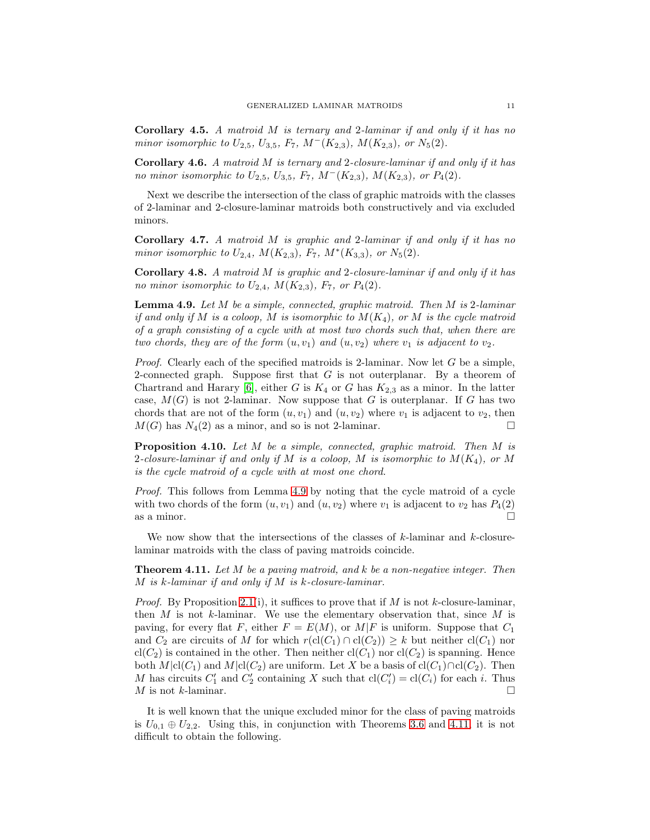Corollary 4.5. A matroid M is ternary and 2-laminar if and only if it has no minor isomorphic to  $U_{2,5}$ ,  $U_{3,5}$ ,  $F_7$ ,  $M^-(K_{2,3})$ ,  $M(K_{2,3})$ , or  $N_5(2)$ .

Corollary 4.6. A matroid M is ternary and 2-closure-laminar if and only if it has no minor isomorphic to  $U_{2,5}$ ,  $U_{3,5}$ ,  $F_7$ ,  $M^-(K_{2,3})$ ,  $M(K_{2,3})$ , or  $P_4(2)$ .

Next we describe the intersection of the class of graphic matroids with the classes of 2-laminar and 2-closure-laminar matroids both constructively and via excluded minors.

Corollary 4.7. A matroid M is graphic and 2-laminar if and only if it has no minor isomorphic to  $U_{2,4}$ ,  $M(K_{2,3})$ ,  $F_7$ ,  $M^*(K_{3,3})$ , or  $N_5(2)$ .

Corollary 4.8. A matroid M is graphic and 2-closure-laminar if and only if it has no minor isomorphic to  $U_{2,4}$ ,  $M(K_{2,3})$ ,  $F_7$ , or  $P_4(2)$ .

<span id="page-11-0"></span>**Lemma 4.9.** Let  $M$  be a simple, connected, graphic matroid. Then  $M$  is 2-laminar if and only if M is a coloop, M is isomorphic to  $M(K_4)$ , or M is the cycle matroid of a graph consisting of a cycle with at most two chords such that, when there are two chords, they are of the form  $(u, v_1)$  and  $(u, v_2)$  where  $v_1$  is adjacent to  $v_2$ .

*Proof.* Clearly each of the specified matroids is 2-laminar. Now let  $G$  be a simple, 2-connected graph. Suppose first that  $G$  is not outerplanar. By a theorem of Chartrand and Harary [\[6\]](#page-12-21), either G is  $K_4$  or G has  $K_{2,3}$  as a minor. In the latter case,  $M(G)$  is not 2-laminar. Now suppose that G is outerplanar. If G has two chords that are not of the form  $(u, v_1)$  and  $(u, v_2)$  where  $v_1$  is adjacent to  $v_2$ , then  $M(G)$  has  $N_4(2)$  as a minor, and so is not 2-laminar.

Proposition 4.10. Let M be a simple, connected, graphic matroid. Then M is 2-closure-laminar if and only if M is a coloop, M is isomorphic to  $M(K_4)$ , or M is the cycle matroid of a cycle with at most one chord.

Proof. This follows from Lemma [4.9](#page-11-0) by noting that the cycle matroid of a cycle with two chords of the form  $(u, v_1)$  and  $(u, v_2)$  where  $v_1$  is adjacent to  $v_2$  has  $P_4(2)$ as a minor.  $\square$ 

We now show that the intersections of the classes of  $k$ -laminar and  $k$ -closurelaminar matroids with the class of paving matroids coincide.

<span id="page-11-1"></span>**Theorem 4.11.** Let  $M$  be a paving matroid, and  $k$  be a non-negative integer. Then  $M$  is k-laminar if and only if  $M$  is k-closure-laminar.

*Proof.* By Proposition [2.1\(](#page-2-1)i), it suffices to prove that if M is not k-closure-laminar, then  $M$  is not  $k$ -laminar. We use the elementary observation that, since  $M$  is paving, for every flat F, either  $F = E(M)$ , or  $M|F$  is uniform. Suppose that  $C_1$ and  $C_2$  are circuits of M for which  $r(\text{cl}(C_1) \cap \text{cl}(C_2)) \geq k$  but neither  $\text{cl}(C_1)$  nor  $\text{cl}(C_2)$  is contained in the other. Then neither  $\text{cl}(C_1)$  nor  $\text{cl}(C_2)$  is spanning. Hence both  $M|cl(C_1)$  and  $M|cl(C_2)$  are uniform. Let X be a basis of  $cl(C_1) \cap cl(C_2)$ . Then M has circuits  $C'_1$  and  $C'_2$  containing X such that  $cl(C'_i) = cl(C_i)$  for each i. Thus M is not k-laminar.

It is well known that the unique excluded minor for the class of paving matroids is  $U_{0,1} \oplus U_{2,2}$ . Using this, in conjunction with Theorems [3.6](#page-6-3) and [4.11,](#page-11-1) it is not difficult to obtain the following.